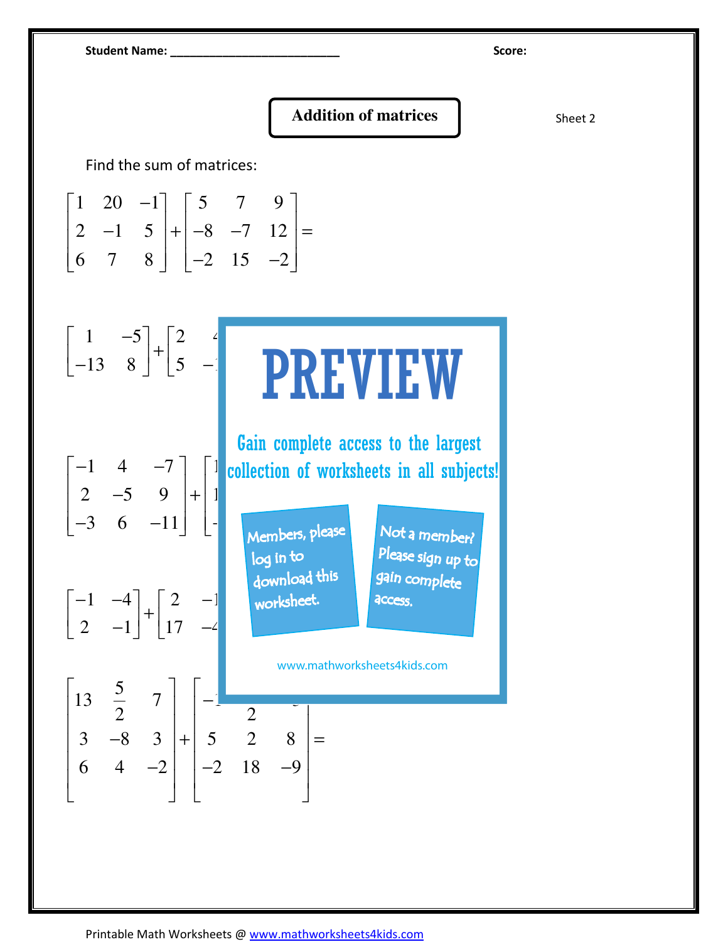Student Name: \_\_\_\_\_\_\_\_\_\_\_\_\_\_\_\_\_\_\_\_\_\_\_\_\_\_ Score:

## **Addition of matrices and Sheet 2** Sheet 2

Find the sum of matrices:

|  |  | $\begin{bmatrix} 1 & 20 & -1 \end{bmatrix} \begin{bmatrix} 5 & 7 & 9 \end{bmatrix}$                                    |  |
|--|--|------------------------------------------------------------------------------------------------------------------------|--|
|  |  |                                                                                                                        |  |
|  |  | $\begin{bmatrix} 2 & -1 & 5 \\ 6 & 7 & 8 \end{bmatrix} + \begin{bmatrix} -8 & -7 & 12 \\ -2 & 15 & -2 \end{bmatrix} =$ |  |